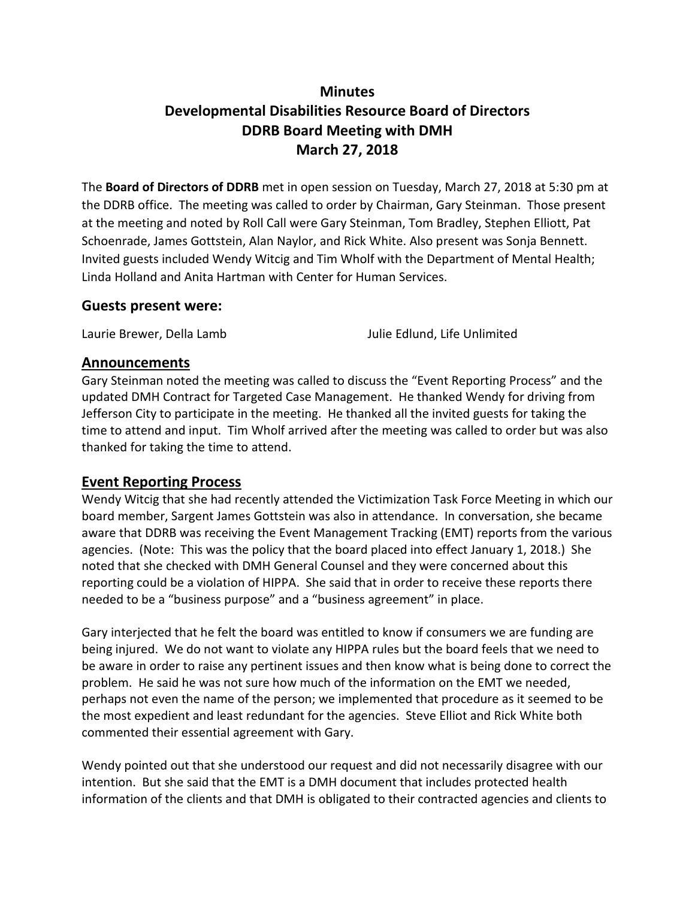# **Minutes Developmental Disabilities Resource Board of Directors DDRB Board Meeting with DMH March 27, 2018**

The **Board of Directors of DDRB** met in open session on Tuesday, March 27, 2018 at 5:30 pm at the DDRB office. The meeting was called to order by Chairman, Gary Steinman. Those present at the meeting and noted by Roll Call were Gary Steinman, Tom Bradley, Stephen Elliott, Pat Schoenrade, James Gottstein, Alan Naylor, and Rick White. Also present was Sonja Bennett. Invited guests included Wendy Witcig and Tim Wholf with the Department of Mental Health; Linda Holland and Anita Hartman with Center for Human Services.

### **Guests present were:**

Laurie Brewer, Della Lamb Julie Edlund, Life Unlimited

### **Announcements**

Gary Steinman noted the meeting was called to discuss the "Event Reporting Process" and the updated DMH Contract for Targeted Case Management. He thanked Wendy for driving from Jefferson City to participate in the meeting. He thanked all the invited guests for taking the time to attend and input. Tim Wholf arrived after the meeting was called to order but was also thanked for taking the time to attend.

## **Event Reporting Process**

Wendy Witcig that she had recently attended the Victimization Task Force Meeting in which our board member, Sargent James Gottstein was also in attendance. In conversation, she became aware that DDRB was receiving the Event Management Tracking (EMT) reports from the various agencies. (Note: This was the policy that the board placed into effect January 1, 2018.) She noted that she checked with DMH General Counsel and they were concerned about this reporting could be a violation of HIPPA. She said that in order to receive these reports there needed to be a "business purpose" and a "business agreement" in place.

Gary interjected that he felt the board was entitled to know if consumers we are funding are being injured. We do not want to violate any HIPPA rules but the board feels that we need to be aware in order to raise any pertinent issues and then know what is being done to correct the problem. He said he was not sure how much of the information on the EMT we needed, perhaps not even the name of the person; we implemented that procedure as it seemed to be the most expedient and least redundant for the agencies. Steve Elliot and Rick White both commented their essential agreement with Gary.

Wendy pointed out that she understood our request and did not necessarily disagree with our intention. But she said that the EMT is a DMH document that includes protected health information of the clients and that DMH is obligated to their contracted agencies and clients to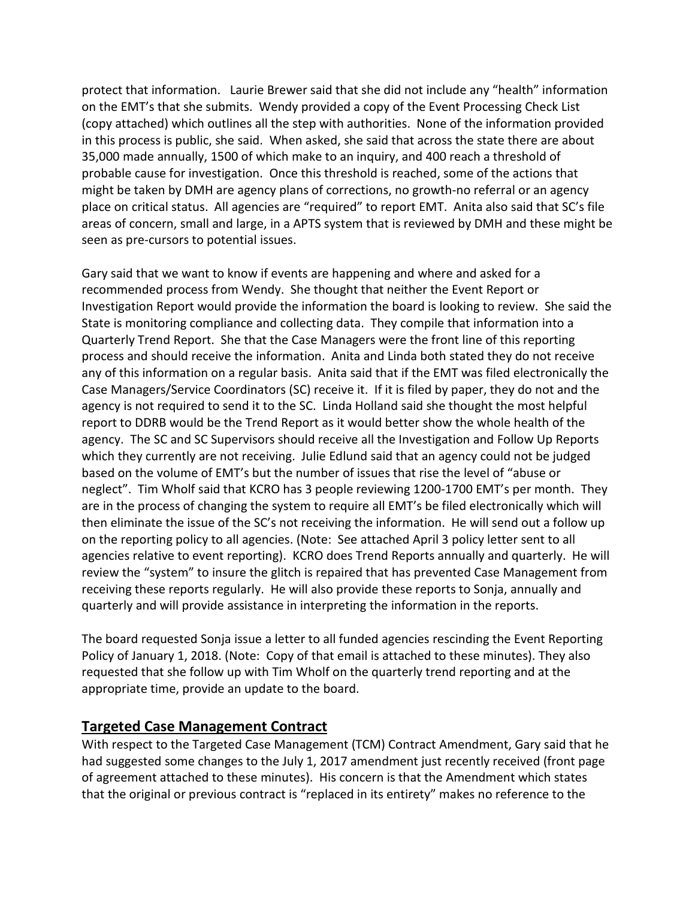protect that information. Laurie Brewer said that she did not include any "health" information on the EMT's that she submits. Wendy provided a copy of the Event Processing Check List (copy attached) which outlines all the step with authorities. None of the information provided in this process is public, she said. When asked, she said that across the state there are about 35,000 made annually, 1500 of which make to an inquiry, and 400 reach a threshold of probable cause for investigation. Once this threshold is reached, some of the actions that might be taken by DMH are agency plans of corrections, no growth-no referral or an agency place on critical status. All agencies are "required" to report EMT. Anita also said that SC's file areas of concern, small and large, in a APTS system that is reviewed by DMH and these might be seen as pre-cursors to potential issues.

Gary said that we want to know if events are happening and where and asked for a recommended process from Wendy. She thought that neither the Event Report or Investigation Report would provide the information the board is looking to review. She said the State is monitoring compliance and collecting data. They compile that information into a Quarterly Trend Report. She that the Case Managers were the front line of this reporting process and should receive the information. Anita and Linda both stated they do not receive any of this information on a regular basis. Anita said that if the EMT was filed electronically the Case Managers/Service Coordinators (SC) receive it. If it is filed by paper, they do not and the agency is not required to send it to the SC. Linda Holland said she thought the most helpful report to DDRB would be the Trend Report as it would better show the whole health of the agency. The SC and SC Supervisors should receive all the Investigation and Follow Up Reports which they currently are not receiving. Julie Edlund said that an agency could not be judged based on the volume of EMT's but the number of issues that rise the level of "abuse or neglect". Tim Wholf said that KCRO has 3 people reviewing 1200-1700 EMT's per month. They are in the process of changing the system to require all EMT's be filed electronically which will then eliminate the issue of the SC's not receiving the information. He will send out a follow up on the reporting policy to all agencies. (Note: See attached April 3 policy letter sent to all agencies relative to event reporting). KCRO does Trend Reports annually and quarterly. He will review the "system" to insure the glitch is repaired that has prevented Case Management from receiving these reports regularly. He will also provide these reports to Sonja, annually and quarterly and will provide assistance in interpreting the information in the reports.

The board requested Sonja issue a letter to all funded agencies rescinding the Event Reporting Policy of January 1, 2018. (Note: Copy of that email is attached to these minutes). They also requested that she follow up with Tim Wholf on the quarterly trend reporting and at the appropriate time, provide an update to the board.

# **Targeted Case Management Contract**

With respect to the Targeted Case Management (TCM) Contract Amendment, Gary said that he had suggested some changes to the July 1, 2017 amendment just recently received (front page of agreement attached to these minutes). His concern is that the Amendment which states that the original or previous contract is "replaced in its entirety" makes no reference to the